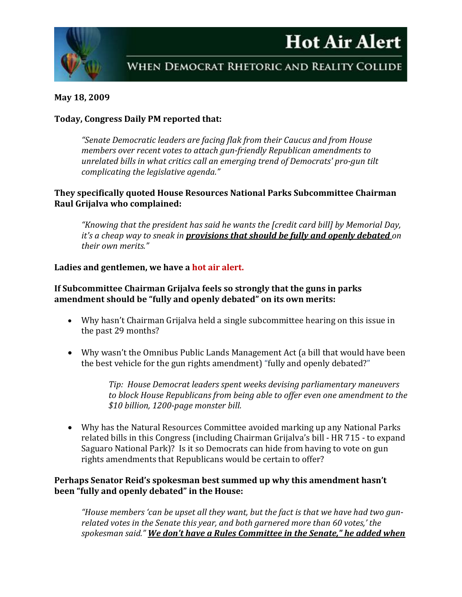



## **May 18, 2009**

## **Today, Congress Daily PM reported that:**

*"Senate Democratic leaders are facing flak from their Caucus and from House members over recent votes to attach gun-friendly Republican amendments to unrelated bills in what critics call an emerging trend of Democrats' pro-gun tilt complicating the legislative agenda."*

# **They specifically quoted House Resources National Parks Subcommittee Chairman Raul Grijalva who complained:**

*"Knowing that the president has said he wants the [credit card bill] by Memorial Day, it's a cheap way to sneak in provisions that should be fully and openly debated on their own merits."*

# **Ladies and gentlemen, we have a hot air alert.**

#### **If Subcommittee Chairman Grijalva feels so strongly that the guns in parks amendment should be "fully and openly debated" on its own merits:**

- Why hasn't Chairman Grijalva held a single subcommittee hearing on this issue in the past 29 months?
- Why wasn't the Omnibus Public Lands Management Act (a bill that would have been the best vehicle for the gun rights amendment) "fully and openly debated?"

*Tip: House Democrat leaders spent weeks devising parliamentary maneuvers to block House Republicans from being able to offer even one amendment to the \$10 billion, 1200-page monster bill.*

• Why has the Natural Resources Committee avoided marking up any National Parks related bills in this Congress (including Chairman Grijalva's bill - HR 715 - to expand Saguaro National Park)? Is it so Democrats can hide from having to vote on gun rights amendments that Republicans would be certain to offer?

# **Perhaps Senator Reid's spokesman best summed up why this amendment hasn't been "fully and openly debated" in the House:**

*"House members 'can be upset all they want, but the fact is that we have had two gunrelated votes in the Senate this year, and both garnered more than 60 votes,' the spokesman said." We don't have a Rules Committee in the Senate," he added when*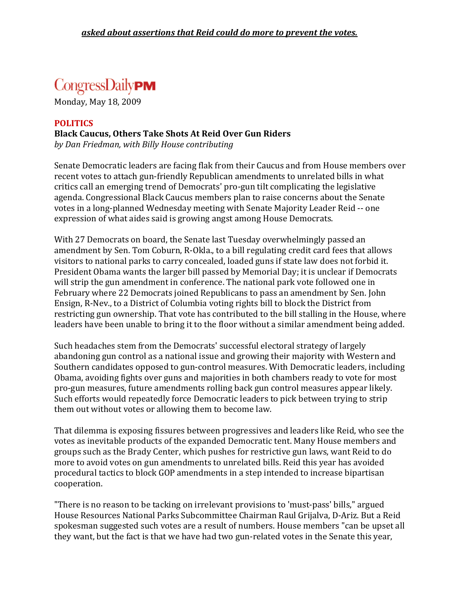# CongressDaily**PM**

Monday, May 18, 2009

# **POLITICS Black Caucus, Others Take Shots At Reid Over Gun Riders** *by Dan Friedman, with Billy House contributing*

Senate Democratic leaders are facing flak from their Caucus and from House members over recent votes to attach gun-friendly Republican amendments to unrelated bills in what critics call an emerging trend of Democrats' pro-gun tilt complicating the legislative agenda. Congressional Black Caucus members plan to raise concerns about the Senate votes in a long-planned Wednesday meeting with Senate Majority Leader Reid -- one expression of what aides said is growing angst among House Democrats.

With 27 Democrats on board, the Senate last Tuesday overwhelmingly passed an amendment by Sen. Tom Coburn, R-Okla., to a bill regulating credit card fees that allows visitors to national parks to carry concealed, loaded guns if state law does not forbid it. President Obama wants the larger bill passed by Memorial Day; it is unclear if Democrats will strip the gun amendment in conference. The national park vote followed one in February where 22 Democrats joined Republicans to pass an amendment by Sen. John Ensign, R-Nev., to a District of Columbia voting rights bill to block the District from restricting gun ownership. That vote has contributed to the bill stalling in the House, where leaders have been unable to bring it to the floor without a similar amendment being added.

Such headaches stem from the Democrats' successful electoral strategy of largely abandoning gun control as a national issue and growing their majority with Western and Southern candidates opposed to gun-control measures. With Democratic leaders, including Obama, avoiding fights over guns and majorities in both chambers ready to vote for most pro-gun measures, future amendments rolling back gun control measures appear likely. Such efforts would repeatedly force Democratic leaders to pick between trying to strip them out without votes or allowing them to become law.

That dilemma is exposing fissures between progressives and leaders like Reid, who see the votes as inevitable products of the expanded Democratic tent. Many House members and groups such as the Brady Center, which pushes for restrictive gun laws, want Reid to do more to avoid votes on gun amendments to unrelated bills. Reid this year has avoided procedural tactics to block GOP amendments in a step intended to increase bipartisan cooperation.

"There is no reason to be tacking on irrelevant provisions to 'must-pass' bills," argued House Resources National Parks Subcommittee Chairman Raul Grijalva, D-Ariz. But a Reid spokesman suggested such votes are a result of numbers. House members "can be upset all they want, but the fact is that we have had two gun-related votes in the Senate this year,